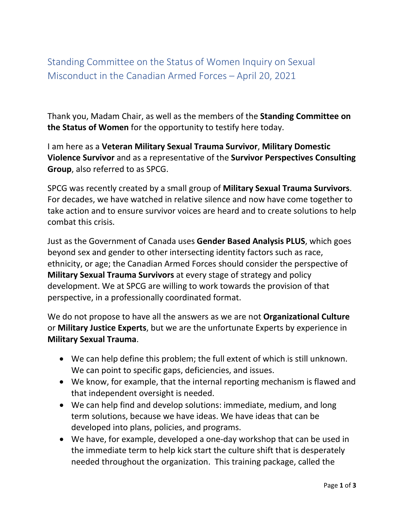Standing Committee on the Status of Women Inquiry on Sexual Misconduct in the Canadian Armed Forces – April 20, 2021

Thank you, Madam Chair, as well as the members of the **Standing Committee on the Status of Women** for the opportunity to testify here today.

I am here as a **Veteran Military Sexual Trauma Survivor**, **Military Domestic Violence Survivor** and as a representative of the **Survivor Perspectives Consulting Group**, also referred to as SPCG.

SPCG was recently created by a small group of **Military Sexual Trauma Survivors**. For decades, we have watched in relative silence and now have come together to take action and to ensure survivor voices are heard and to create solutions to help combat this crisis.

Just as the Government of Canada uses **Gender Based Analysis PLUS**, which goes beyond sex and gender to other intersecting identity factors such as race, ethnicity, or age; the Canadian Armed Forces should consider the perspective of **Military Sexual Trauma Survivors** at every stage of strategy and policy development. We at SPCG are willing to work towards the provision of that perspective, in a professionally coordinated format.

We do not propose to have all the answers as we are not **Organizational Culture** or **Military Justice Experts**, but we are the unfortunate Experts by experience in **Military Sexual Trauma**.

- We can help define this problem; the full extent of which is still unknown. We can point to specific gaps, deficiencies, and issues.
- We know, for example, that the internal reporting mechanism is flawed and that independent oversight is needed.
- We can help find and develop solutions: immediate, medium, and long term solutions, because we have ideas. We have ideas that can be developed into plans, policies, and programs.
- We have, for example, developed a one-day workshop that can be used in the immediate term to help kick start the culture shift that is desperately needed throughout the organization. This training package, called the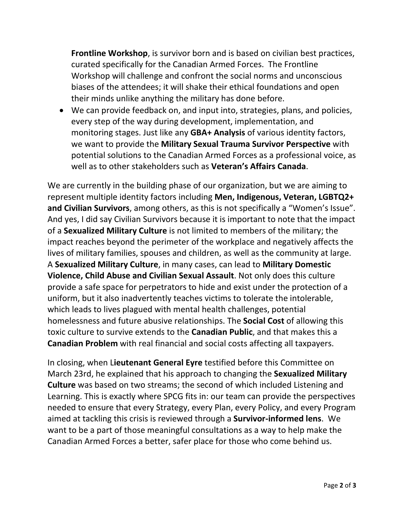**Frontline Workshop**, is survivor born and is based on civilian best practices, curated specifically for the Canadian Armed Forces. The Frontline Workshop will challenge and confront the social norms and unconscious biases of the attendees; it will shake their ethical foundations and open their minds unlike anything the military has done before.

• We can provide feedback on, and input into, strategies, plans, and policies, every step of the way during development, implementation, and monitoring stages. Just like any **GBA+ Analysis** of various identity factors, we want to provide the **Military Sexual Trauma Survivor Perspective** with potential solutions to the Canadian Armed Forces as a professional voice, as well as to other stakeholders such as **Veteran's Affairs Canada**.

We are currently in the building phase of our organization, but we are aiming to represent multiple identity factors including **Men, Indigenous, Veteran, LGBTQ2+ and Civilian Survivors**, among others, as this is not specifically a "Women's Issue". And yes, I did say Civilian Survivors because it is important to note that the impact of a **Sexualized Military Culture** is not limited to members of the military; the impact reaches beyond the perimeter of the workplace and negatively affects the lives of military families, spouses and children, as well as the community at large. A **Sexualized Military Culture**, in many cases, can lead to **Military Domestic Violence, Child Abuse and Civilian Sexual Assault**. Not only does this culture provide a safe space for perpetrators to hide and exist under the protection of a uniform, but it also inadvertently teaches victims to tolerate the intolerable, which leads to lives plagued with mental health challenges, potential homelessness and future abusive relationships. The **Social Cost** of allowing this toxic culture to survive extends to the **Canadian Public**, and that makes this a **Canadian Problem** with real financial and social costs affecting all taxpayers.

In closing, when L**ieutenant General Eyre** testified before this Committee on March 23rd, he explained that his approach to changing the **Sexualized Military Culture** was based on two streams; the second of which included Listening and Learning. This is exactly where SPCG fits in: our team can provide the perspectives needed to ensure that every Strategy, every Plan, every Policy, and every Program aimed at tackling this crisis is reviewed through a **Survivor-informed lens**. We want to be a part of those meaningful consultations as a way to help make the Canadian Armed Forces a better, safer place for those who come behind us.